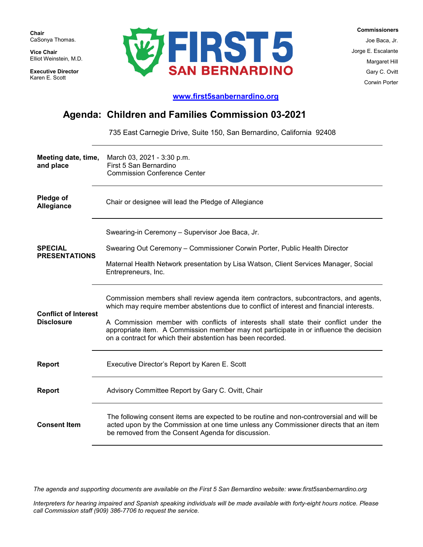**Chair** CaSonya Thomas.

**Vice Chair** Elliot Weinstein, M.D.

**Executive Director**  Karen E. Scott



 **Commissioners** Joe Baca, Jr. Jorge E. Escalante Margaret Hill Gary C. Ovitt Corwin Porter

## **[www.first5sanbernardino.org](http://www.first5sanbernardino.org/)**

## **Agenda: Children and Families Commission 03-2021**

735 East Carnegie Drive, Suite 150, San Bernardino, California 92408

| Meeting date, time,<br>and place                 | March 03, 2021 - 3:30 p.m.<br>First 5 San Bernardino<br><b>Commission Conference Center</b>                                                                                                                                                                                                                                                                                                                                        |
|--------------------------------------------------|------------------------------------------------------------------------------------------------------------------------------------------------------------------------------------------------------------------------------------------------------------------------------------------------------------------------------------------------------------------------------------------------------------------------------------|
| Pledge of<br>Allegiance                          | Chair or designee will lead the Pledge of Allegiance                                                                                                                                                                                                                                                                                                                                                                               |
| <b>SPECIAL</b><br><b>PRESENTATIONS</b>           | Swearing-in Ceremony - Supervisor Joe Baca, Jr.<br>Swearing Out Ceremony - Commissioner Corwin Porter, Public Health Director<br>Maternal Health Network presentation by Lisa Watson, Client Services Manager, Social<br>Entrepreneurs, Inc.                                                                                                                                                                                       |
| <b>Conflict of Interest</b><br><b>Disclosure</b> | Commission members shall review agenda item contractors, subcontractors, and agents,<br>which may require member abstentions due to conflict of interest and financial interests.<br>A Commission member with conflicts of interests shall state their conflict under the<br>appropriate item. A Commission member may not participate in or influence the decision<br>on a contract for which their abstention has been recorded. |
| <b>Report</b>                                    | Executive Director's Report by Karen E. Scott                                                                                                                                                                                                                                                                                                                                                                                      |
| <b>Report</b>                                    | Advisory Committee Report by Gary C. Ovitt, Chair                                                                                                                                                                                                                                                                                                                                                                                  |
| <b>Consent Item</b>                              | The following consent items are expected to be routine and non-controversial and will be<br>acted upon by the Commission at one time unless any Commissioner directs that an item<br>be removed from the Consent Agenda for discussion.                                                                                                                                                                                            |

*The agenda and supporting documents are available on the First 5 San Bernardino website: www.first5sanbernardino.org*

*Interpreters for hearing impaired and Spanish speaking individuals will be made available with forty-eight hours notice. Please call Commission staff (909) 386-7706 to request the service.*